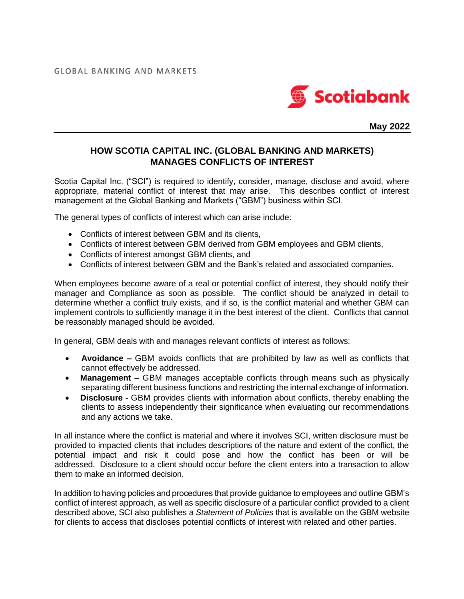

**May 2022**

## **HOW SCOTIA CAPITAL INC. (GLOBAL BANKING AND MARKETS) MANAGES CONFLICTS OF INTEREST**

Scotia Capital Inc. ("SCI") is required to identify, consider, manage, disclose and avoid, where appropriate, material conflict of interest that may arise. This describes conflict of interest management at the Global Banking and Markets ("GBM") business within SCI.

The general types of conflicts of interest which can arise include:

- Conflicts of interest between GBM and its clients,
- Conflicts of interest between GBM derived from GBM employees and GBM clients,
- Conflicts of interest amongst GBM clients, and
- Conflicts of interest between GBM and the Bank's related and associated companies.

When employees become aware of a real or potential conflict of interest, they should notify their manager and Compliance as soon as possible. The conflict should be analyzed in detail to determine whether a conflict truly exists, and if so, is the conflict material and whether GBM can implement controls to sufficiently manage it in the best interest of the client. Conflicts that cannot be reasonably managed should be avoided.

In general, GBM deals with and manages relevant conflicts of interest as follows:

- **Avoidance –** GBM avoids conflicts that are prohibited by law as well as conflicts that cannot effectively be addressed.
- **Management –** GBM manages acceptable conflicts through means such as physically separating different business functions and restricting the internal exchange of information.
- **Disclosure -** GBM provides clients with information about conflicts, thereby enabling the clients to assess independently their significance when evaluating our recommendations and any actions we take.

In all instance where the conflict is material and where it involves SCI, written disclosure must be provided to impacted clients that includes descriptions of the nature and extent of the conflict, the potential impact and risk it could pose and how the conflict has been or will be addressed. Disclosure to a client should occur before the client enters into a transaction to allow them to make an informed decision.

In addition to having policies and procedures that provide guidance to employees and outline GBM's conflict of interest approach, as well as specific disclosure of a particular conflict provided to a client described above, SCI also publishes a *Statement of Policies* that is available on the GBM website for clients to access that discloses potential conflicts of interest with related and other parties.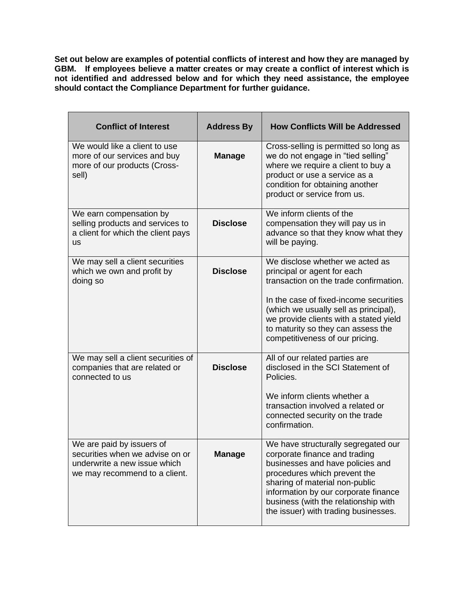**Set out below are examples of potential conflicts of interest and how they are managed by GBM. If employees believe a matter creates or may create a conflict of interest which is not identified and addressed below and for which they need assistance, the employee should contact the Compliance Department for further guidance.**

| <b>Conflict of Interest</b>                                                                                                   | <b>Address By</b> | <b>How Conflicts Will be Addressed</b>                                                                                                                                                                                                                                                                         |
|-------------------------------------------------------------------------------------------------------------------------------|-------------------|----------------------------------------------------------------------------------------------------------------------------------------------------------------------------------------------------------------------------------------------------------------------------------------------------------------|
| We would like a client to use<br>more of our services and buy<br>more of our products (Cross-<br>sell)                        | <b>Manage</b>     | Cross-selling is permitted so long as<br>we do not engage in "tied selling"<br>where we require a client to buy a<br>product or use a service as a<br>condition for obtaining another<br>product or service from us.                                                                                           |
| We earn compensation by<br>selling products and services to<br>a client for which the client pays<br><b>us</b>                | <b>Disclose</b>   | We inform clients of the<br>compensation they will pay us in<br>advance so that they know what they<br>will be paying.                                                                                                                                                                                         |
| We may sell a client securities<br>which we own and profit by<br>doing so                                                     | <b>Disclose</b>   | We disclose whether we acted as<br>principal or agent for each<br>transaction on the trade confirmation.<br>In the case of fixed-income securities<br>(which we usually sell as principal),<br>we provide clients with a stated yield<br>to maturity so they can assess the<br>competitiveness of our pricing. |
| We may sell a client securities of<br>companies that are related or<br>connected to us                                        | <b>Disclose</b>   | All of our related parties are<br>disclosed in the SCI Statement of<br>Policies.<br>We inform clients whether a<br>transaction involved a related or<br>connected security on the trade<br>confirmation.                                                                                                       |
| We are paid by issuers of<br>securities when we advise on or<br>underwrite a new issue which<br>we may recommend to a client. | <b>Manage</b>     | We have structurally segregated our<br>corporate finance and trading<br>businesses and have policies and<br>procedures which prevent the<br>sharing of material non-public<br>information by our corporate finance<br>business (with the relationship with<br>the issuer) with trading businesses.             |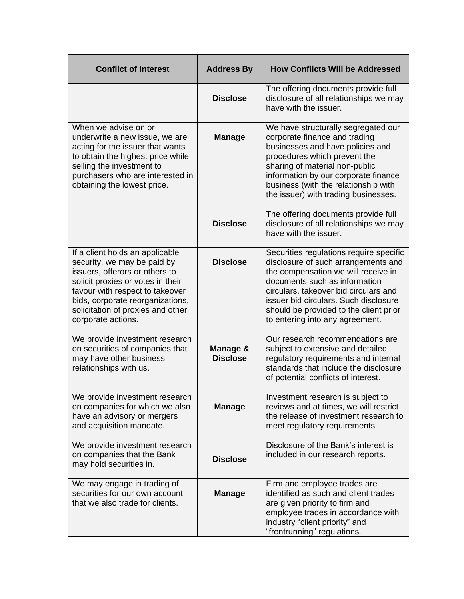| <b>Conflict of Interest</b>                                                                                                                                                                                                                                             | <b>Address By</b>           | <b>How Conflicts Will be Addressed</b>                                                                                                                                                                                                                                                                                |
|-------------------------------------------------------------------------------------------------------------------------------------------------------------------------------------------------------------------------------------------------------------------------|-----------------------------|-----------------------------------------------------------------------------------------------------------------------------------------------------------------------------------------------------------------------------------------------------------------------------------------------------------------------|
|                                                                                                                                                                                                                                                                         | <b>Disclose</b>             | The offering documents provide full<br>disclosure of all relationships we may<br>have with the issuer.                                                                                                                                                                                                                |
| When we advise on or<br>underwrite a new issue, we are<br>acting for the issuer that wants<br>to obtain the highest price while<br>selling the investment to<br>purchasers who are interested in<br>obtaining the lowest price.                                         | <b>Manage</b>               | We have structurally segregated our<br>corporate finance and trading<br>businesses and have policies and<br>procedures which prevent the<br>sharing of material non-public<br>information by our corporate finance<br>business (with the relationship with<br>the issuer) with trading businesses.                    |
|                                                                                                                                                                                                                                                                         | <b>Disclose</b>             | The offering documents provide full<br>disclosure of all relationships we may<br>have with the issuer.                                                                                                                                                                                                                |
| If a client holds an applicable<br>security, we may be paid by<br>issuers, offerors or others to<br>solicit proxies or votes in their<br>favour with respect to takeover<br>bids, corporate reorganizations,<br>solicitation of proxies and other<br>corporate actions. | <b>Disclose</b>             | Securities regulations require specific<br>disclosure of such arrangements and<br>the compensation we will receive in<br>documents such as information<br>circulars, takeover bid circulars and<br>issuer bid circulars. Such disclosure<br>should be provided to the client prior<br>to entering into any agreement. |
| We provide investment research<br>on securities of companies that<br>may have other business<br>relationships with us.                                                                                                                                                  | Manage &<br><b>Disclose</b> | Our research recommendations are<br>subject to extensive and detailed<br>regulatory requirements and internal<br>standards that include the disclosure<br>of potential conflicts of interest.                                                                                                                         |
| We provide investment research<br>on companies for which we also<br>have an advisory or mergers<br>and acquisition mandate.                                                                                                                                             | <b>Manage</b>               | Investment research is subject to<br>reviews and at times, we will restrict<br>the release of investment research to<br>meet regulatory requirements.                                                                                                                                                                 |
| We provide investment research<br>on companies that the Bank<br>may hold securities in.                                                                                                                                                                                 | <b>Disclose</b>             | Disclosure of the Bank's interest is<br>included in our research reports.                                                                                                                                                                                                                                             |
| We may engage in trading of<br>securities for our own account<br>that we also trade for clients.                                                                                                                                                                        | <b>Manage</b>               | Firm and employee trades are<br>identified as such and client trades<br>are given priority to firm and<br>employee trades in accordance with<br>industry "client priority" and<br>"frontrunning" regulations.                                                                                                         |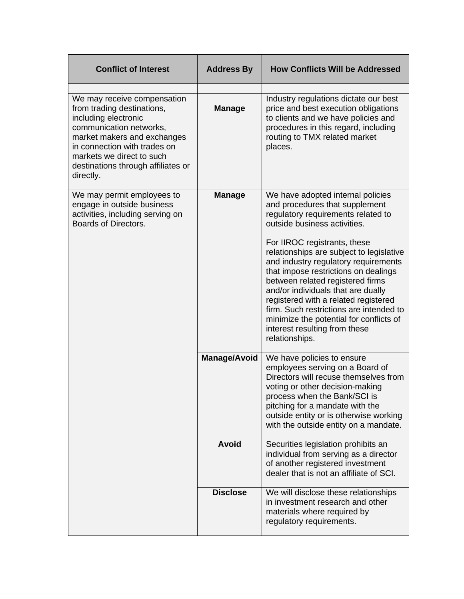| <b>Conflict of Interest</b>                                                                                                                                                                                                                                 | <b>Address By</b>   | <b>How Conflicts Will be Addressed</b>                                                                                                                                                                                                                                                                                                                                                                              |
|-------------------------------------------------------------------------------------------------------------------------------------------------------------------------------------------------------------------------------------------------------------|---------------------|---------------------------------------------------------------------------------------------------------------------------------------------------------------------------------------------------------------------------------------------------------------------------------------------------------------------------------------------------------------------------------------------------------------------|
| We may receive compensation<br>from trading destinations,<br>including electronic<br>communication networks,<br>market makers and exchanges<br>in connection with trades on<br>markets we direct to such<br>destinations through affiliates or<br>directly. | <b>Manage</b>       | Industry regulations dictate our best<br>price and best execution obligations<br>to clients and we have policies and<br>procedures in this regard, including<br>routing to TMX related market<br>places.                                                                                                                                                                                                            |
| We may permit employees to<br>engage in outside business<br>activities, including serving on<br>Boards of Directors.                                                                                                                                        | <b>Manage</b>       | We have adopted internal policies<br>and procedures that supplement<br>regulatory requirements related to<br>outside business activities.                                                                                                                                                                                                                                                                           |
|                                                                                                                                                                                                                                                             |                     | For IIROC registrants, these<br>relationships are subject to legislative<br>and industry regulatory requirements<br>that impose restrictions on dealings<br>between related registered firms<br>and/or individuals that are dually<br>registered with a related registered<br>firm. Such restrictions are intended to<br>minimize the potential for conflicts of<br>interest resulting from these<br>relationships. |
|                                                                                                                                                                                                                                                             | <b>Manage/Avoid</b> | We have policies to ensure<br>employees serving on a Board of<br>Directors will recuse themselves from<br>voting or other decision-making<br>process when the Bank/SCI is<br>pitching for a mandate with the<br>outside entity or is otherwise working<br>with the outside entity on a mandate.                                                                                                                     |
|                                                                                                                                                                                                                                                             | <b>Avoid</b>        | Securities legislation prohibits an<br>individual from serving as a director<br>of another registered investment<br>dealer that is not an affiliate of SCI.                                                                                                                                                                                                                                                         |
|                                                                                                                                                                                                                                                             | <b>Disclose</b>     | We will disclose these relationships<br>in investment research and other<br>materials where required by<br>regulatory requirements.                                                                                                                                                                                                                                                                                 |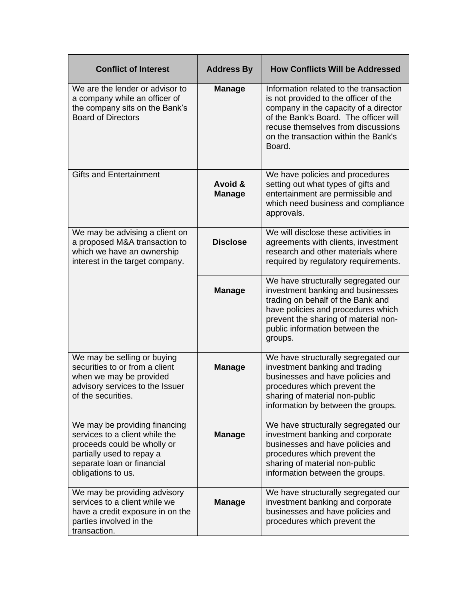| <b>Conflict of Interest</b>                                                                                                                                                     | <b>Address By</b>        | <b>How Conflicts Will be Addressed</b>                                                                                                                                                                                                                    |
|---------------------------------------------------------------------------------------------------------------------------------------------------------------------------------|--------------------------|-----------------------------------------------------------------------------------------------------------------------------------------------------------------------------------------------------------------------------------------------------------|
| We are the lender or advisor to<br>a company while an officer of<br>the company sits on the Bank's<br><b>Board of Directors</b>                                                 | <b>Manage</b>            | Information related to the transaction<br>is not provided to the officer of the<br>company in the capacity of a director<br>of the Bank's Board. The officer will<br>recuse themselves from discussions<br>on the transaction within the Bank's<br>Board. |
| <b>Gifts and Entertainment</b>                                                                                                                                                  | Avoid &<br><b>Manage</b> | We have policies and procedures<br>setting out what types of gifts and<br>entertainment are permissible and<br>which need business and compliance<br>approvals.                                                                                           |
| We may be advising a client on<br>a proposed M&A transaction to<br>which we have an ownership<br>interest in the target company.                                                | <b>Disclose</b>          | We will disclose these activities in<br>agreements with clients, investment<br>research and other materials where<br>required by regulatory requirements.                                                                                                 |
|                                                                                                                                                                                 | <b>Manage</b>            | We have structurally segregated our<br>investment banking and businesses<br>trading on behalf of the Bank and<br>have policies and procedures which<br>prevent the sharing of material non-<br>public information between the<br>groups.                  |
| We may be selling or buying<br>securities to or from a client<br>when we may be provided<br>advisory services to the Issuer<br>of the securities.                               | <b>Manage</b>            | We have structurally segregated our<br>investment banking and trading<br>businesses and have policies and<br>procedures which prevent the<br>sharing of material non-public<br>information by between the groups.                                         |
| We may be providing financing<br>services to a client while the<br>proceeds could be wholly or<br>partially used to repay a<br>separate loan or financial<br>obligations to us. | <b>Manage</b>            | We have structurally segregated our<br>investment banking and corporate<br>businesses and have policies and<br>procedures which prevent the<br>sharing of material non-public<br>information between the groups.                                          |
| We may be providing advisory<br>services to a client while we<br>have a credit exposure in on the<br>parties involved in the<br>transaction.                                    | <b>Manage</b>            | We have structurally segregated our<br>investment banking and corporate<br>businesses and have policies and<br>procedures which prevent the                                                                                                               |